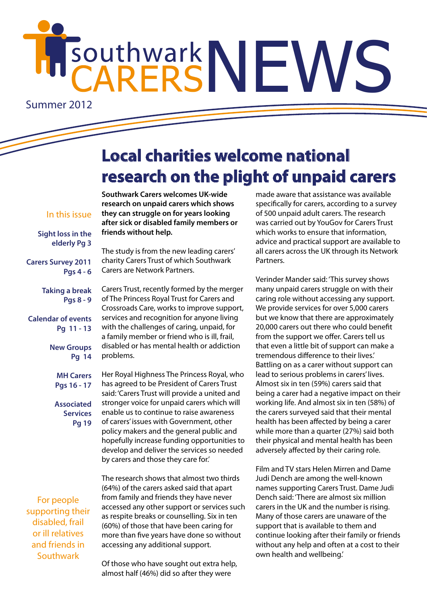# HISOUthwarkNEWS

Summer 2012

# **Local charities welcome national research on the plight of unpaid carers**

## In this issue

## **Sight loss in the elderly Pg 3**

| <b>Carers Survey 2011</b> |  |
|---------------------------|--|
| Pgs $4 - 6$               |  |

**Taking a break Pgs 8 - 9**

## **Calendar of events Pg 11 - 13**

**New Groups Pg 14**

> **MH Carers Pgs 16 - 17 Associated Services**

> > **Pg 19**

For people supporting their disabled, frail or ill relatives and friends in Southwark

**Southwark Carers welcomes UK-wide research on unpaid carers which shows they can struggle on for years looking after sick or disabled family members or friends without help.** 

The study is from the new leading carers' charity Carers Trust of which Southwark Carers are Network Partners.

Carers Trust, recently formed by the merger of The Princess Royal Trust for Carers and Crossroads Care, works to improve support, services and recognition for anyone living with the challenges of caring, unpaid, for a family member or friend who is ill, frail, disabled or has mental health or addiction problems.

Her Royal Highness The Princess Royal, who has agreed to be President of Carers Trust said: 'Carers Trust will provide a united and stronger voice for unpaid carers which will enable us to continue to raise awareness of carers' issues with Government, other policy makers and the general public and hopefully increase funding opportunities to develop and deliver the services so needed by carers and those they care for.'

The research shows that almost two thirds (64%) of the carers asked said that apart from family and friends they have never accessed any other support or services such as respite breaks or counselling. Six in ten (60%) of those that have been caring for more than five years have done so without accessing any additional support.

Of those who have sought out extra help, almost half (46%) did so after they were

made aware that assistance was available specifically for carers, according to a survey of 500 unpaid adult carers. The research was carried out by YouGov for Carers Trust which works to ensure that information. advice and practical support are available to all carers across the UK through its Network Partners.

Verinder Mander said: 'This survey shows many unpaid carers struggle on with their caring role without accessing any support. We provide services for over 5,000 carers but we know that there are approximately 20,000 carers out there who could benefit from the support we offer. Carers tell us that even a little bit of support can make a tremendous difference to their lives.' Battling on as a carer without support can lead to serious problems in carers' lives. Almost six in ten (59%) carers said that being a carer had a negative impact on their working life. And almost six in ten (58%) of the carers surveyed said that their mental health has been affected by being a carer while more than a quarter (27%) said both their physical and mental health has been adversely affected by their caring role.

Film and TV stars Helen Mirren and Dame Judi Dench are among the well-known names supporting Carers Trust. Dame Judi Dench said: 'There are almost six million carers in the UK and the number is rising. Many of those carers are unaware of the support that is available to them and continue looking after their family or friends without any help and often at a cost to their own health and wellbeing.'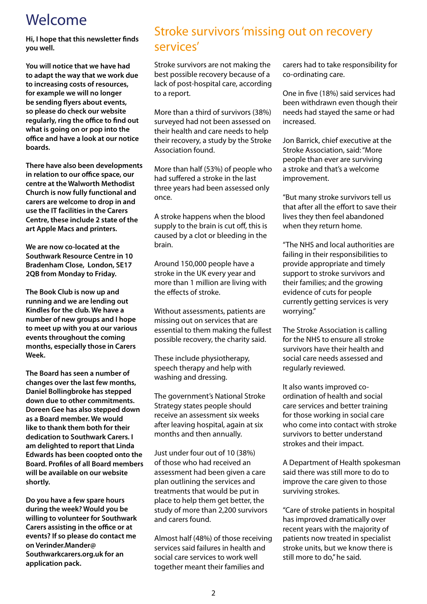# Welcome

**Hi, I hope that this newsletter finds you well.** 

**You will notice that we have had to adapt the way that we work due to increasing costs of resources, for example we will no longer be sending flyers about events, so please do check our website regularly, ring the office to find out what is going on or pop into the office and have a look at our notice boards.** 

**There have also been developments in relation to our office space, our centre at the Walworth Methodist Church is now fully functional and carers are welcome to drop in and use the IT facilities in the Carers Centre, these include 2 state of the art Apple Macs and printers.** 

**We are now co-located at the Southwark Resource Centre in 10 Bradenham Close, London, SE17 2QB from Monday to Friday.** 

**The Book Club is now up and running and we are lending out Kindles for the club. We have a number of new groups and I hope to meet up with you at our various events throughout the coming months, especially those in Carers Week.** 

**The Board has seen a number of changes over the last few months, Daniel Bollingbroke has stepped down due to other commitments. Doreen Gee has also stepped down as a Board member. We would like to thank them both for their dedication to Southwark Carers. I am delighted to report that Linda Edwards has been coopted onto the Board. Profiles of all Board members will be available on our website shortly.**

**Do you have a few spare hours during the week? Would you be willing to volunteer for Southwark Carers assisting in the office or at events? If so please do contact me on Verinder.Mander@ Southwarkcarers.org.uk for an application pack.**

## Stroke survivors 'missing out on recovery services'

Stroke survivors are not making the best possible recovery because of a lack of post-hospital care, according to a report.

More than a third of survivors (38%) surveyed had not been assessed on their health and care needs to help their recovery, a study by the Stroke Association found.

More than half (53%) of people who had suffered a stroke in the last three years had been assessed only once.

A stroke happens when the blood supply to the brain is cut off, this is caused by a clot or bleeding in the brain.

Around 150,000 people have a stroke in the UK every year and more than 1 million are living with the effects of stroke.

Without assessments, patients are missing out on services that are essential to them making the fullest possible recovery, the charity said.

These include physiotherapy, speech therapy and help with washing and dressing.

The government's National Stroke Strategy states people should receive an assessment six weeks after leaving hospital, again at six months and then annually.

Just under four out of 10 (38%) of those who had received an assessment had been given a care plan outlining the services and treatments that would be put in place to help them get better, the study of more than 2,200 survivors and carers found.

Almost half (48%) of those receiving services said failures in health and social care services to work well together meant their families and

carers had to take responsibility for co-ordinating care.

One in five (18%) said services had been withdrawn even though their needs had stayed the same or had increased.

Jon Barrick, chief executive at the Stroke Association, said: "More people than ever are surviving a stroke and that's a welcome improvement.

"But many stroke survivors tell us that after all the effort to save their lives they then feel abandoned when they return home.

"The NHS and local authorities are failing in their responsibilities to provide appropriate and timely support to stroke survivors and their families; and the growing evidence of cuts for people currently getting services is very worrying."

The Stroke Association is calling for the NHS to ensure all stroke survivors have their health and social care needs assessed and regularly reviewed.

It also wants improved coordination of health and social care services and better training for those working in social care who come into contact with stroke survivors to better understand strokes and their impact.

A Department of Health spokesman said there was still more to do to improve the care given to those surviving strokes.

"Care of stroke patients in hospital has improved dramatically over recent years with the majority of patients now treated in specialist stroke units, but we know there is still more to do," he said.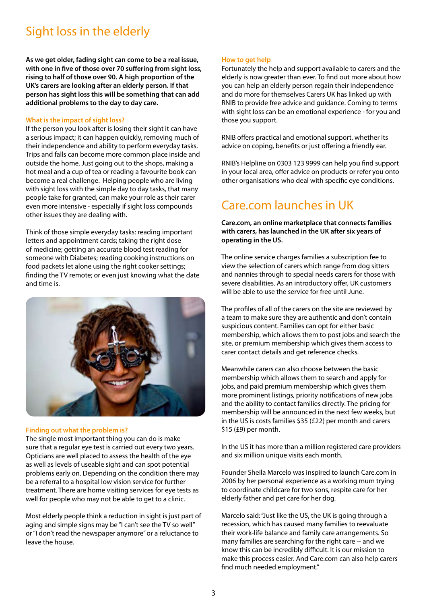## Sight loss in the elderly

**As we get older, fading sight can come to be a real issue, with one in five of those over 70 suffering from sight loss, rising to half of those over 90. A high proportion of the UK's carers are looking after an elderly person. If that person has sight loss this will be something that can add additional problems to the day to day care.**

#### **What is the impact of sight loss?**

If the person you look after is losing their sight it can have a serious impact; it can happen quickly, removing much of their independence and ability to perform everyday tasks. Trips and falls can become more common place inside and outside the home. Just going out to the shops, making a hot meal and a cup of tea or reading a favourite book can become a real challenge. Helping people who are living with sight loss with the simple day to day tasks, that many people take for granted, can make your role as their carer even more intensive - especially if sight loss compounds other issues they are dealing with.

Think of those simple everyday tasks: reading important letters and appointment cards; taking the right dose of medicine; getting an accurate blood test reading for someone with Diabetes; reading cooking instructions on food packets let alone using the right cooker settings; finding the TV remote; or even just knowing what the date and time is.



#### **Finding out what the problem is?**

The single most important thing you can do is make sure that a regular eye test is carried out every two years. Opticians are well placed to assess the health of the eye as well as levels of useable sight and can spot potential problems early on. Depending on the condition there may be a referral to a hospital low vision service for further treatment. There are home visiting services for eye tests as well for people who may not be able to get to a clinic.

Most elderly people think a reduction in sight is just part of aging and simple signs may be "I can't see the TV so well" or "I don't read the newspaper anymore" or a reluctance to leave the house.

#### **How to get help**

Fortunately the help and support available to carers and the elderly is now greater than ever. To find out more about how you can help an elderly person regain their independence and do more for themselves Carers UK has linked up with RNIB to provide free advice and guidance. Coming to terms with sight loss can be an emotional experience - for you and those you support.

RNIB offers practical and emotional support, whether its advice on coping, benefits or just offering a friendly ear.

RNIB's Helpline on 0303 123 9999 can help you find support in your local area, offer advice on products or refer you onto other organisations who deal with specific eye conditions.

## Care.com launches in UK

**Care.com, an online marketplace that connects families with carers, has launched in the UK after six years of operating in the US.**

The online service charges families a subscription fee to view the selection of carers which range from dog sitters and nannies through to special needs carers for those with severe disabilities. As an introductory offer, UK customers will be able to use the service for free until June.

The profiles of all of the carers on the site are reviewed by a team to make sure they are authentic and don't contain suspicious content. Families can opt for either basic membership, which allows them to post jobs and search the site, or premium membership which gives them access to carer contact details and get reference checks.

Meanwhile carers can also choose between the basic membership which allows them to search and apply for jobs, and paid premium membership which gives them more prominent listings, priority notifications of new jobs and the ability to contact families directly. The pricing for membership will be announced in the next few weeks, but in the US is costs families \$35 (£22) per month and carers \$15 (£9) per month.

In the US it has more than a million registered care providers and six million unique visits each month.

Founder Sheila Marcelo was inspired to launch Care.com in 2006 by her personal experience as a working mum trying to coordinate childcare for two sons, respite care for her elderly father and pet care for her dog.

Marcelo said: "Just like the US, the UK is going through a recession, which has caused many families to reevaluate their work-life balance and family care arrangements. So many families are searching for the right care -- and we know this can be incredibly difficult. It is our mission to make this process easier. And Care.com can also help carers find much needed employment."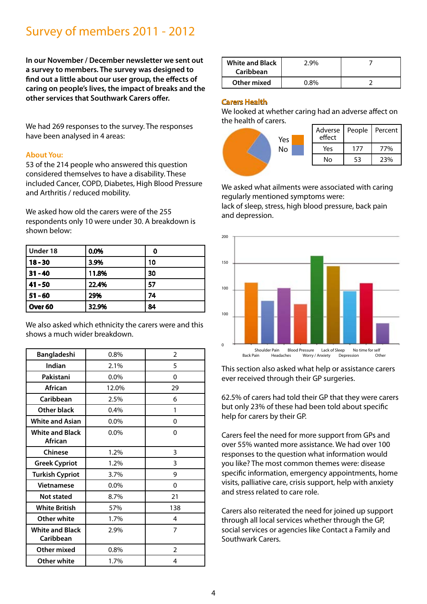## Survey of members 2011 - 2012

**In our November / December newsletter we sent out a survey to members. The survey was designed to find out a little about our user group, the effects of caring on people's lives, the impact of breaks and the other services that Southwark Carers offer.**

We had 269 responses to the survey. The responses have been analysed in 4 areas:

#### **About You:**

53 of the 214 people who answered this question considered themselves to have a disability. These included Cancer, COPD, Diabetes, High Blood Pressure and Arthritis / reduced mobility.

We asked how old the carers were of the 255 respondents only 10 were under 30. A breakdown is shown below:

| Under 18   | 0.0%  | 0  |
|------------|-------|----|
| 18 - 30    | 3.9%  | 10 |
| 31 - 40    | 11.8% | 30 |
| $ 41 - 50$ | 22.4% | 57 |
| $51 - 60$  | 29%   | 74 |
| l Over 60  | 32.9% | 84 |

We also asked which ethnicity the carers were and this shows a much wider breakdown.

| <b>Bangladeshi</b>                  | 0.8%  | $\overline{2}$ |
|-------------------------------------|-------|----------------|
| Indian                              | 2.1%  | 5              |
| Pakistani                           | 0.0%  | 0              |
| African                             | 12.0% | 29             |
| Caribbean                           | 2.5%  | 6              |
| Other black                         | 0.4%  | 1              |
| <b>White and Asian</b>              | 0.0%  | 0              |
| <b>White and Black</b><br>African   | 0.0%  | 0              |
| <b>Chinese</b>                      | 1.2%  | 3              |
| <b>Greek Cypriot</b>                | 1.2%  | 3              |
| <b>Turkish Cypriot</b>              | 3.7%  | 9              |
| <b>Vietnamese</b>                   | 0.0%  | 0              |
| <b>Not stated</b>                   | 8.7%  | 21             |
| <b>White British</b>                | 57%   | 138            |
| Other white                         | 1.7%  | 4              |
| <b>White and Black</b><br>Caribbean | 2.9%  | 7              |
| Other mixed                         | 0.8%  | $\overline{2}$ |
| Other white                         | 1.7%  | 4              |

| <b>White and Black</b><br>Caribbean | 2.9% |  |
|-------------------------------------|------|--|
| Other mixed                         | በ ጸ% |  |

#### **Carers Health**

We looked at whether caring had an adverse affect on the health of carers.



We asked what ailments were associated with caring regularly mentioned symptoms were:

lack of sleep, stress, high blood pressure, back pain and depression.



This section also asked what help or assistance carers ever received through their GP surgeries.

62.5% of carers had told their GP that they were carers but only 23% of these had been told about specific help for carers by their GP.

Carers feel the need for more support from GPs and over 55% wanted more assistance. We had over 100 responses to the question what information would you like? The most common themes were: disease specific information, emergency appointments, home visits, palliative care, crisis support, help with anxiety and stress related to care role.

Carers also reiterated the need for joined up support through all local services whether through the GP, social services or agencies like Contact a Family and Southwark Carers.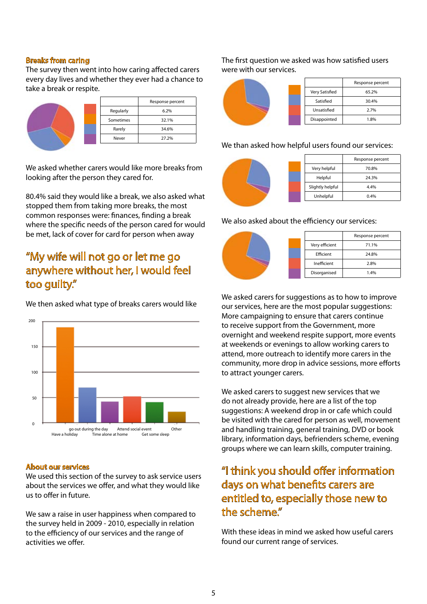#### **Breaks from caring**

The survey then went into how caring affected carers every day lives and whether they ever had a chance to take a break or respite.



We asked whether carers would like more breaks from looking after the person they cared for.

80.4% said they would like a break, we also asked what stopped them from taking more breaks, the most common responses were: finances, finding a break where the specific needs of the person cared for would be met, lack of cover for card for person when away

## "My wife will not go or let me go anywhere without her, I would feel too guilty."

We then asked what type of breaks carers would like



#### **About our services**

We used this section of the survey to ask service users about the services we offer, and what they would like us to offer in future.

We saw a raise in user happiness when compared to the survey held in 2009 - 2010, especially in relation to the efficiency of our services and the range of activities we offer.

The first question we asked was how satisfied users were with our services.

|                | Response percent |
|----------------|------------------|
| Very Satisfied | 65.2%            |
| Satisfied      | 30.4%            |
| Unsatisfied    | 2.7%             |
| Disappointed   | 1.8%             |

#### We than asked how helpful users found our services:



|  |                  | Response percent |
|--|------------------|------------------|
|  | Very helpful     | 70.8%            |
|  | Helpful          | 24.3%            |
|  | Slightly helpful | 4 4%             |
|  | Unhelpful        | 0.4%             |

We also asked about the efficiency our services:



|                | Response percent |
|----------------|------------------|
| Very efficient | 71.1%            |
| Efficient      | 24.8%            |
| Inefficient    | 2.8%             |
| Disorganised   | 14%              |
|                |                  |

We asked carers for suggestions as to how to improve our services, here are the most popular suggestions: More campaigning to ensure that carers continue to receive support from the Government, more overnight and weekend respite support, more events at weekends or evenings to allow working carers to attend, more outreach to identify more carers in the community, more drop in advice sessions, more efforts to attract younger carers.

We asked carers to suggest new services that we do not already provide, here are a list of the top suggestions: A weekend drop in or cafe which could be visited with the cared for person as well, movement and handling training, general training, DVD or book library, information days, befrienders scheme, evening groups where we can learn skills, computer training.

## "I think you should offer information days on what benefits carers are entitled to, especially those new to the scheme."

With these ideas in mind we asked how useful carers found our current range of services.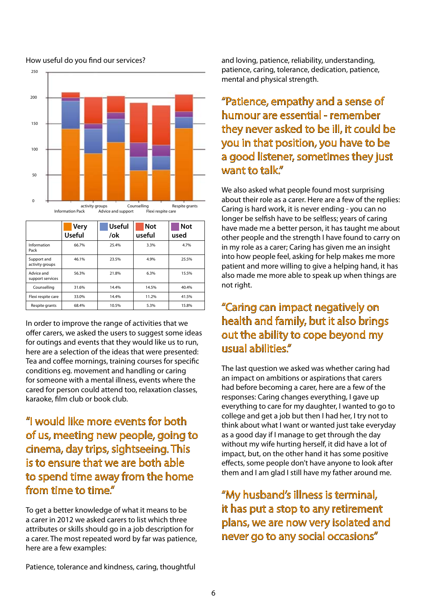

#### How useful do you find our services?

|                                | <b>Very</b><br>Useful | <b>Useful</b><br>/ok | <b>Not</b><br>useful | <b>Not</b><br>used |
|--------------------------------|-----------------------|----------------------|----------------------|--------------------|
| Information<br>Pack            | 66.7%                 | 25.4%                | 3.3%                 | 4.7%               |
| Support and<br>activity groups | 46.1%                 | 23.5%                | 4.9%                 | 25.5%              |
| Advice and<br>support services | 56.3%                 | 21.8%                | 6.3%                 | 15.5%              |
| Counselling                    | 31.6%                 | 14.4%                | 14.5%                | 40.4%              |
| Flexi respite care             | 33.0%                 | 14.4%                | 11.2%                | 41.5%              |
| Respite grants                 | 68.4%                 | 10.5%                | 5.3%                 | 15.8%              |

In order to improve the range of activities that we offer carers, we asked the users to suggest some ideas for outings and events that they would like us to run, here are a selection of the ideas that were presented: Tea and coffee mornings, training courses for specific conditions eg. movement and handling or caring for someone with a mental illness, events where the cared for person could attend too, relaxation classes, karaoke, film club or book club.

"I would like more events for both of us, meeting new people, going to cinema, day trips, sightseeing. This is to ensure that we are both able to spend time away from the home from time to time."

To get a better knowledge of what it means to be a carer in 2012 we asked carers to list which three attributes or skills should go in a job description for a carer. The most repeated word by far was patience, here are a few examples:

and loving, patience, reliability, understanding, patience, caring, tolerance, dedication, patience, mental and physical strength.

## "Patience, empathy and a sense of humour are essential - remember they never asked to be ill, it could be you in that position, you have to be a good listener, sometimes they just want to talk."

We also asked what people found most surprising about their role as a carer. Here are a few of the replies: Caring is hard work, it is never ending - you can no longer be selfish have to be selfless; years of caring have made me a better person, it has taught me about other people and the strength I have found to carry on in my role as a carer; Caring has given me an insight into how people feel, asking for help makes me more patient and more willing to give a helping hand, it has also made me more able to speak up when things are not right.

## "Caring can impact negatively on health and family, but it also brings out the ability to cope beyond my usual abilities."

The last question we asked was whether caring had an impact on ambitions or aspirations that carers had before becoming a carer, here are a few of the responses: Caring changes everything, I gave up everything to care for my daughter, I wanted to go to college and get a job but then I had her, I try not to think about what I want or wanted just take everyday as a good day if I manage to get through the day without my wife hurting herself, it did have a lot of impact, but, on the other hand it has some positive effects, some people don't have anyone to look after them and I am glad I still have my father around me.

"My husband's illness is terminal, it has put a stop to any retirement plans, we are now very isolated and never go to any social occasions"

Patience, tolerance and kindness, caring, thoughtful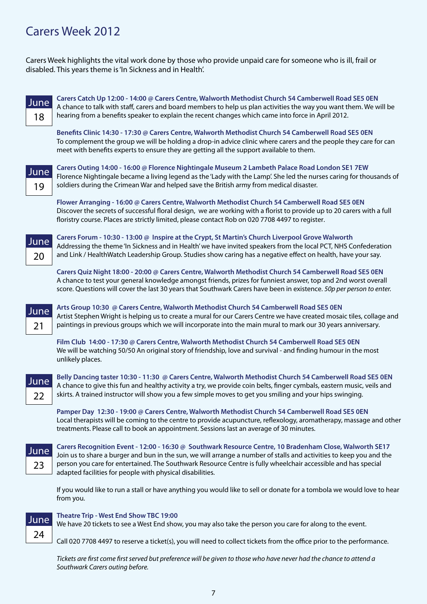## Carers Week 2012

Carers Week highlights the vital work done by those who provide unpaid care for someone who is ill, frail or disabled. This years theme is 'In Sickness and in Health'.



**Carers Catch Up 12:00 - 14:00 @ Carers Centre, Walworth Methodist Church 54 Camberwell Road SE5 0EN** A chance to talk with staff, carers and board members to help us plan activities the way you want them. We will be hearing from a benefits speaker to explain the recent changes which came into force in April 2012.

**Benefits Clinic 14:30 - 17:30 @ Carers Centre, Walworth Methodist Church 54 Camberwell Road SE5 0EN** To complement the group we will be holding a drop-in advice clinic where carers and the people they care for can meet with benefits experts to ensure they are getting all the support available to them.



**Carers Outing 14:00 - 16:00 @ Florence Nightingale Museum 2 Lambeth Palace Road London SE1 7EW** Florence Nightingale became a living legend as the 'Lady with the Lamp'. She led the nurses caring for thousands of soldiers during the Crimean War and helped save the British army from medical disaster.

**Flower Arranging - 16:00 @ Carers Centre, Walworth Methodist Church 54 Camberwell Road SE5 0EN** Discover the secrets of successful floral design, we are working with a florist to provide up to 20 carers with a full floristry course. Places are strictly limited, please contact Rob on 020 7708 4497 to register.



**Carers Forum - 10:30 - 13:00 @ Inspire at the Crypt, St Martin's Church Liverpool Grove Walworth** Addressing the theme 'In Sickness and in Health' we have invited speakers from the local PCT, NHS Confederation and Link / HealthWatch Leadership Group. Studies show caring has a negative effect on health, have your say.

**Carers Quiz Night 18:00 - 20:00 @ Carers Centre, Walworth Methodist Church 54 Camberwell Road SE5 0EN** A chance to test your general knowledge amongst friends, prizes for funniest answer, top and 2nd worst overall score. Questions will cover the last 30 years that Southwark Carers have been in existence. *50p per person to enter.*

June 21

**Arts Group 10:30 @ Carers Centre, Walworth Methodist Church 54 Camberwell Road SE5 0EN** Artist Stephen Wright is helping us to create a mural for our Carers Centre we have created mosaic tiles, collage and paintings in previous groups which we will incorporate into the main mural to mark our 30 years anniversary.

**Film Club 14:00 - 17:30 @ Carers Centre, Walworth Methodist Church 54 Camberwell Road SE5 0EN** We will be watching 50/50 An original story of friendship, love and survival - and finding humour in the most unlikely places.

June 22

**Belly Dancing taster 10:30 - 11:30 @ Carers Centre, Walworth Methodist Church 54 Camberwell Road SE5 0EN** A chance to give this fun and healthy activity a try, we provide coin belts, finger cymbals, eastern music, veils and skirts. A trained instructor will show you a few simple moves to get you smiling and your hips swinging.

**Pamper Day 12:30 - 19:00 @ Carers Centre, Walworth Methodist Church 54 Camberwell Road SE5 0EN** Local therapists will be coming to the centre to provide acupuncture, reflexology, aromatherapy, massage and other treatments. Please call to book an appointment. Sessions last an average of 30 minutes.



**Carers Recognition Event - 12:00 - 16:30 @ Southwark Resource Centre, 10 Bradenham Close, Walworth SE17**  Join us to share a burger and bun in the sun, we will arrange a number of stalls and activities to keep you and the person you care for entertained. The Southwark Resource Centre is fully wheelchair accessible and has special adapted facilities for people with physical disabilities.

If you would like to run a stall or have anything you would like to sell or donate for a tombola we would love to hear from you.



#### **Theatre Trip - West End Show TBC 19:00**

We have 20 tickets to see a West End show, you may also take the person you care for along to the event.

Call 020 7708 4497 to reserve a ticket(s), you will need to collect tickets from the office prior to the performance.

*Tickets are first come first served but preference will be given to those who have never had the chance to attend a Southwark Carers outing before.*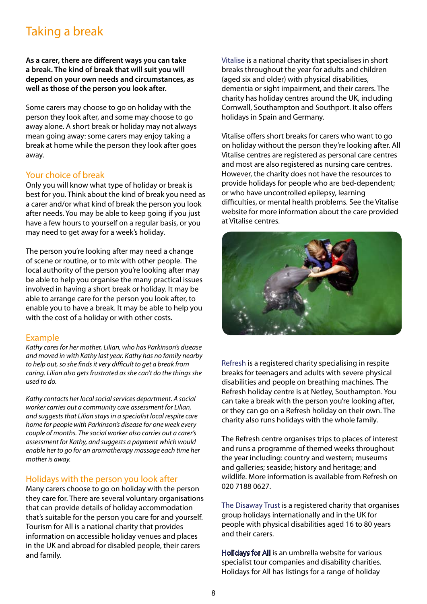## Taking a break

**As a carer, there are different ways you can take a break. The kind of break that will suit you will depend on your own needs and circumstances, as well as those of the person you look after.**

Some carers may choose to go on holiday with the person they look after, and some may choose to go away alone. A short break or holiday may not always mean going away: some carers may enjoy taking a break at home while the person they look after goes away.

#### Your choice of break

Only you will know what type of holiday or break is best for you. Think about the kind of break you need as a carer and/or what kind of break the person you look after needs. You may be able to keep going if you just have a few hours to yourself on a regular basis, or you may need to get away for a week's holiday.

The person you're looking after may need a change of scene or routine, or to mix with other people. The local authority of the person you're looking after may be able to help you organise the many practical issues involved in having a short break or holiday. It may be able to arrange care for the person you look after, to enable you to have a break. It may be able to help you with the cost of a holiday or with other costs.

#### Example

*Kathy cares for her mother, Lilian, who has Parkinson's disease and moved in with Kathy last year. Kathy has no family nearby to help out, so she finds it very difficult to get a break from caring. Lilian also gets frustrated as she can't do the things she used to do.*

*Kathy contacts her local social services department. A social worker carries out a community care assessment for Lilian, and suggests that Lilian stays in a specialist local respite care home for people with Parkinson's disease for one week every couple of months. The social worker also carries out a carer's assessment for Kathy, and suggests a payment which would enable her to go for an aromatherapy massage each time her mother is away.*

## Holidays with the person you look after

Many carers choose to go on holiday with the person they care for. There are several voluntary organisations that can provide details of holiday accommodation that's suitable for the person you care for and yourself. Tourism for All is a national charity that provides information on accessible holiday venues and places in the UK and abroad for disabled people, their carers and family.

Vitalise is a national charity that specialises in short breaks throughout the year for adults and children (aged six and older) with physical disabilities, dementia or sight impairment, and their carers. The charity has holiday centres around the UK, including Cornwall, Southampton and Southport. It also offers holidays in Spain and Germany.

Vitalise offers short breaks for carers who want to go on holiday without the person they're looking after. All Vitalise centres are registered as personal care centres and most are also registered as nursing care centres. However, the charity does not have the resources to provide holidays for people who are bed-dependent; or who have uncontrolled epilepsy, learning difficulties, or mental health problems. See the Vitalise website for more information about the care provided at Vitalise centres.



Refresh is a registered charity specialising in respite breaks for teenagers and adults with severe physical disabilities and people on breathing machines. The Refresh holiday centre is at Netley, Southampton. You can take a break with the person you're looking after, or they can go on a Refresh holiday on their own. The charity also runs holidays with the whole family.

The Refresh centre organises trips to places of interest and runs a programme of themed weeks throughout the year including: country and western; museums and galleries; seaside; history and heritage; and wildlife. More information is available from Refresh on 020 7188 0627.

The Disaway Trust is a registered charity that organises group holidays internationally and in the UK for people with physical disabilities aged 16 to 80 years and their carers.

Holidays for All is an umbrella website for various specialist tour companies and disability charities. Holidays for All has listings for a range of holiday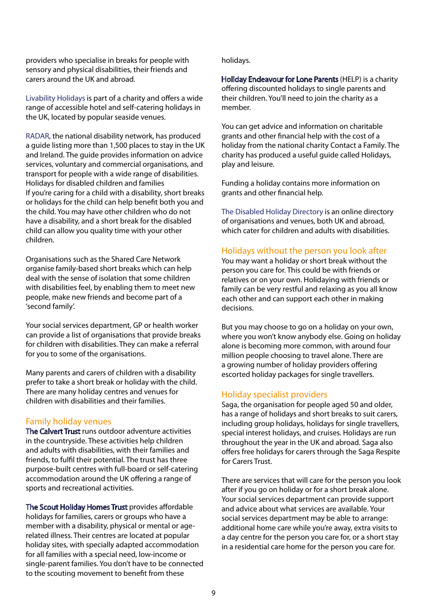providers who specialise in breaks for people with sensory and physical disabilities, their friends and carers around the UK and abroad.

Livability Holidays is part of a charity and offers a wide range of accessible hotel and self-catering holidays in the UK, located by popular seaside venues.

RADAR, the national disability network, has produced a guide listing more than 1,500 places to stay in the UK and Ireland. The guide provides information on advice services, voluntary and commercial organisations, and transport for people with a wide range of disabilities. Holidays for disabled children and families If you're caring for a child with a disability, short breaks or holidays for the child can help benefit both you and the child. You may have other children who do not have a disability, and a short break for the disabled child can allow you quality time with your other children.

Organisations such as the Shared Care Network organise family-based short breaks which can help deal with the sense of isolation that some children with disabilities feel, by enabling them to meet new people, make new friends and become part of a 'second family'.

Your social services department, GP or health worker can provide a list of organisations that provide breaks for children with disabilities. They can make a referral for you to some of the organisations.

Many parents and carers of children with a disability prefer to take a short break or holiday with the child. There are many holiday centres and venues for children with disabilities and their families.

#### Family holiday venues

The Calvert Trust runs outdoor adventure activities in the countryside. These activities help children and adults with disabilities, with their families and friends, to fulfil their potential. The trust has three purpose-built centres with full-board or self-catering accommodation around the UK offering a range of sports and recreational activities.

The Scout Holiday Homes Trust provides affordable holidays for families, carers or groups who have a member with a disability, physical or mental or agerelated illness. Their centres are located at popular holiday sites, with specially adapted accommodation for all families with a special need, low-income or single-parent families. You don't have to be connected to the scouting movement to benefit from these

holidays.

Holiday Endeavour for Lone Parents (HELP) is a charity offering discounted holidays to single parents and their children. You'll need to join the charity as a member.

You can get advice and information on charitable grants and other financial help with the cost of a holiday from the national charity Contact a Family. The charity has produced a useful guide called Holidays, play and leisure.

Funding a holiday contains more information on grants and other financial help.

The Disabled Holiday Directory is an online directory of organisations and venues, both UK and abroad, which cater for children and adults with disabilities.

## Holidays without the person you look after

You may want a holiday or short break without the person you care for. This could be with friends or relatives or on your own. Holidaying with friends or family can be very restful and relaxing as you all know each other and can support each other in making decisions.

But you may choose to go on a holiday on your own, where you won't know anybody else. Going on holiday alone is becoming more common, with around four million people choosing to travel alone. There are a growing number of holiday providers offering escorted holiday packages for single travellers.

#### Holiday specialist providers

Saga, the organisation for people aged 50 and older, has a range of holidays and short breaks to suit carers, including group holidays, holidays for single travellers, special interest holidays, and cruises. Holidays are run throughout the year in the UK and abroad. Saga also offers free holidays for carers through the Saga Respite for Carers Trust.

There are services that will care for the person you look after if you go on holiday or for a short break alone. Your social services department can provide support and advice about what services are available. Your social services department may be able to arrange: additional home care while you're away, extra visits to a day centre for the person you care for, or a short stay in a residential care home for the person you care for.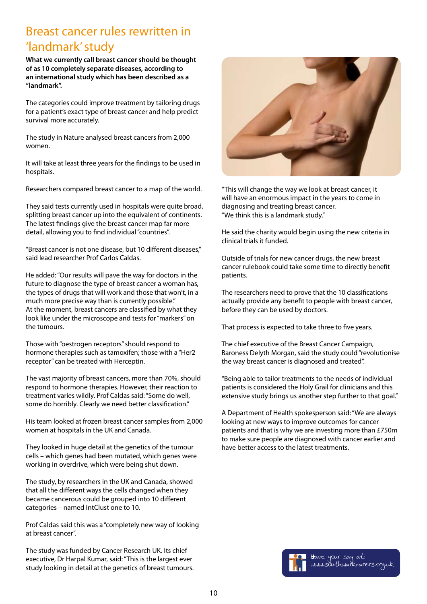## Breast cancer rules rewritten in 'landmark' study

**What we currently call breast cancer should be thought of as 10 completely separate diseases, according to an international study which has been described as a "landmark".**

The categories could improve treatment by tailoring drugs for a patient's exact type of breast cancer and help predict survival more accurately.

The study in Nature analysed breast cancers from 2,000 women.

It will take at least three years for the findings to be used in hospitals.

Researchers compared breast cancer to a map of the world.

They said tests currently used in hospitals were quite broad, splitting breast cancer up into the equivalent of continents. The latest findings give the breast cancer map far more detail, allowing you to find individual "countries".

"Breast cancer is not one disease, but 10 different diseases," said lead researcher Prof Carlos Caldas.

He added: "Our results will pave the way for doctors in the future to diagnose the type of breast cancer a woman has, the types of drugs that will work and those that won't, in a much more precise way than is currently possible." At the moment, breast cancers are classified by what they look like under the microscope and tests for "markers" on the tumours.

Those with "oestrogen receptors" should respond to hormone therapies such as tamoxifen; those with a "Her2 receptor" can be treated with Herceptin.

The vast majority of breast cancers, more than 70%, should respond to hormone therapies. However, their reaction to treatment varies wildly. Prof Caldas said: "Some do well, some do horribly. Clearly we need better classification."

His team looked at frozen breast cancer samples from 2,000 women at hospitals in the UK and Canada.

They looked in huge detail at the genetics of the tumour cells – which genes had been mutated, which genes were working in overdrive, which were being shut down.

The study, by researchers in the UK and Canada, showed that all the different ways the cells changed when they became cancerous could be grouped into 10 different categories – named IntClust one to 10.

Prof Caldas said this was a "completely new way of looking at breast cancer".

The study was funded by Cancer Research UK. Its chief executive, Dr Harpal Kumar, said: "This is the largest ever study looking in detail at the genetics of breast tumours.



"This will change the way we look at breast cancer, it will have an enormous impact in the years to come in diagnosing and treating breast cancer. "We think this is a landmark study."

He said the charity would begin using the new criteria in clinical trials it funded.

Outside of trials for new cancer drugs, the new breast cancer rulebook could take some time to directly benefit patients.

The researchers need to prove that the 10 classifications actually provide any benefit to people with breast cancer, before they can be used by doctors.

That process is expected to take three to five years.

The chief executive of the Breast Cancer Campaign, Baroness Delyth Morgan, said the study could "revolutionise the way breast cancer is diagnosed and treated".

"Being able to tailor treatments to the needs of individual patients is considered the Holy Grail for clinicians and this extensive study brings us another step further to that goal."

A Department of Health spokesperson said: "We are always looking at new ways to improve outcomes for cancer patients and that is why we are investing more than £750m to make sure people are diagnosed with cancer earlier and have better access to the latest treatments.

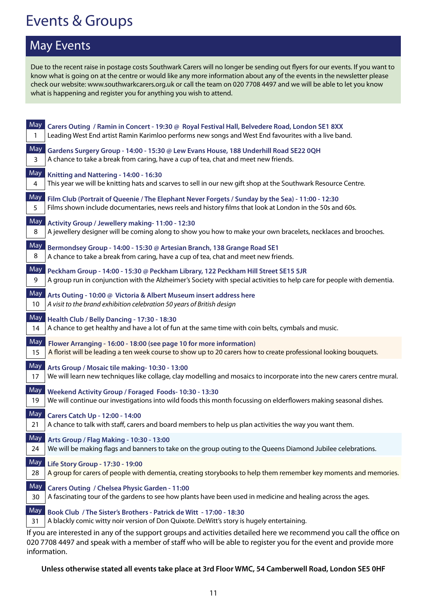# Events & Groups

## May Events

Due to the recent raise in postage costs Southwark Carers will no longer be sending out flyers for our events. If you want to know what is going on at the centre or would like any more information about any of the events in the newsletter please check our website: www.southwarkcarers.org.uk or call the team on 020 7708 4497 and we will be able to let you know what is happening and register you for anything you wish to attend.

| May            | Carers Outing / Ramin in Concert - 19:30 @ Royal Festival Hall, Belvedere Road, London SE1 8XX                                                                                                                                       |
|----------------|--------------------------------------------------------------------------------------------------------------------------------------------------------------------------------------------------------------------------------------|
| $\overline{1}$ | Leading West End artist Ramin Karimloo performs new songs and West End favourites with a live band.                                                                                                                                  |
| May            | Gardens Surgery Group - 14:00 - 15:30 @ Lew Evans House, 188 Underhill Road SE22 0QH                                                                                                                                                 |
| 3              | A chance to take a break from caring, have a cup of tea, chat and meet new friends.                                                                                                                                                  |
| May            | Knitting and Nattering - 14:00 - 16:30                                                                                                                                                                                               |
| $\overline{4}$ | This year we will be knitting hats and scarves to sell in our new gift shop at the Southwark Resource Centre.                                                                                                                        |
| May            | Film Club (Portrait of Queenie / The Elephant Never Forgets / Sunday by the Sea) - 11:00 - 12:30                                                                                                                                     |
| 5              | Films shown include documentaries, news reels and history films that look at London in the 50s and 60s.                                                                                                                              |
| May            | Activity Group / Jewellery making-11:00 - 12:30                                                                                                                                                                                      |
| 8              | A jewellery designer will be coming along to show you how to make your own bracelets, necklaces and brooches.                                                                                                                        |
| May            | Bermondsey Group - 14:00 - 15:30 @ Artesian Branch, 138 Grange Road SE1                                                                                                                                                              |
| 8              | A chance to take a break from caring, have a cup of tea, chat and meet new friends.                                                                                                                                                  |
| <b>May</b>     | Peckham Group - 14:00 - 15:30 @ Peckham Library, 122 Peckham Hill Street SE15 5JR                                                                                                                                                    |
| 9              | A group run in conjunction with the Alzheimer's Society with special activities to help care for people with dementia.                                                                                                               |
| 10             | May Arts Outing - 10:00 @ Victoria & Albert Museum insert address here<br>A visit to the brand exhibition celebration 50 years of British design                                                                                     |
| 14             | May Health Club / Belly Dancing - 17:30 - 18:30<br>A chance to get healthy and have a lot of fun at the same time with coin belts, cymbals and music.                                                                                |
| May            | Flower Arranging - 16:00 - 18:00 (see page 10 for more information)                                                                                                                                                                  |
| 15             | A florist will be leading a ten week course to show up to 20 carers how to create professional looking bouquets.                                                                                                                     |
| May            | Arts Group / Mosaic tile making- 10:30 - 13:00                                                                                                                                                                                       |
| 17             | We will learn new techniques like collage, clay modelling and mosaics to incorporate into the new carers centre mural.                                                                                                               |
| May            | Weekend Activity Group / Foraged Foods-10:30 - 13:30                                                                                                                                                                                 |
| 19             | We will continue our investigations into wild foods this month focussing on elderflowers making seasonal dishes.                                                                                                                     |
| May            | Carers Catch Up - 12:00 - 14:00                                                                                                                                                                                                      |
| 21             | A chance to talk with staff, carers and board members to help us plan activities the way you want them.                                                                                                                              |
| May            | Arts Group / Flag Making - 10:30 - 13:00                                                                                                                                                                                             |
| 24             | We will be making flags and banners to take on the group outing to the Queens Diamond Jubilee celebrations.                                                                                                                          |
| May            | Life Story Group - 17:30 - 19:00                                                                                                                                                                                                     |
| 28             | A group for carers of people with dementia, creating storybooks to help them remember key moments and memories.                                                                                                                      |
| May            | Carers Outing / Chelsea Physic Garden - 11:00                                                                                                                                                                                        |
| 30             | A fascinating tour of the gardens to see how plants have been used in medicine and healing across the ages.                                                                                                                          |
| May            | Book Club / The Sister's Brothers - Patrick de Witt - 17:00 - 18:30                                                                                                                                                                  |
| 31             | A blackly comic witty noir version of Don Quixote. DeWitt's story is hugely entertaining.                                                                                                                                            |
|                | If you are interested in any of the support groups and activities detailed here we recommend you call the office on<br>000 7700 4407 and excels with a mean has of staff who will be able to recistavy wy for the except and provide |

020 7708 4497 and speak with a member of staff who will be able to register you for the event and provide more information.

## **Unless otherwise stated all events take place at 3rd Floor WMC, 54 Camberwell Road, London SE5 0HF**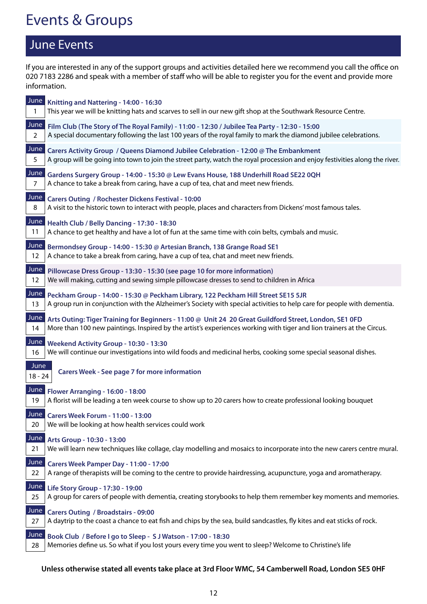# Events & Groups

## June Events

If you are interested in any of the support groups and activities detailed here we recommend you call the office on 020 7183 2286 and speak with a member of staff who will be able to register you for the event and provide more information.

| $\mathbf{1}$      | June Knitting and Nattering - 14:00 - 16:30<br>This year we will be knitting hats and scarves to sell in our new gift shop at the Southwark Resource Centre.                                                           |
|-------------------|------------------------------------------------------------------------------------------------------------------------------------------------------------------------------------------------------------------------|
| $\overline{2}$    | June Film Club (The Story of The Royal Family) - 11:00 - 12:30 / Jubilee Tea Party - 12:30 - 15:00<br>A special documentary following the last 100 years of the royal family to mark the diamond jubilee celebrations. |
| <b>June</b>       | Carers Activity Group / Queens Diamond Jubilee Celebration - 12:00 @ The Embankment                                                                                                                                    |
| 5                 | A group will be going into town to join the street party, watch the royal procession and enjoy festivities along the river.                                                                                            |
| June              | Gardens Surgery Group - 14:00 - 15:30 @ Lew Evans House, 188 Underhill Road SE22 0QH                                                                                                                                   |
| $\overline{7}$    | A chance to take a break from caring, have a cup of tea, chat and meet new friends.                                                                                                                                    |
| June              | <b>Carers Outing / Rochester Dickens Festival - 10:00</b>                                                                                                                                                              |
| 8                 | A visit to the historic town to interact with people, places and characters from Dickens' most famous tales.                                                                                                           |
| <b>June</b>       | Health Club / Belly Dancing - 17:30 - 18:30                                                                                                                                                                            |
| 11                | A chance to get healthy and have a lot of fun at the same time with coin belts, cymbals and music.                                                                                                                     |
| 12                | June Bermondsey Group - 14:00 - 15:30 @ Artesian Branch, 138 Grange Road SE1<br>A chance to take a break from caring, have a cup of tea, chat and meet new friends.                                                    |
| June              | Pillowcase Dress Group - 13:30 - 15:30 (see page 10 for more information)                                                                                                                                              |
| 12                | We will making, cutting and sewing simple pillowcase dresses to send to children in Africa                                                                                                                             |
| June              | Peckham Group - 14:00 - 15:30 @ Peckham Library, 122 Peckham Hill Street SE15 5JR                                                                                                                                      |
| 13                | A group run in conjunction with the Alzheimer's Society with special activities to help care for people with dementia.                                                                                                 |
| June              | Arts Outing: Tiger Training for Beginners - 11:00 @ Unit 24 20 Great Guildford Street, London, SE1 0FD                                                                                                                 |
| 14                | More than 100 new paintings. Inspired by the artist's experiences working with tiger and lion trainers at the Circus.                                                                                                  |
| June              | Weekend Activity Group - 10:30 - 13:30                                                                                                                                                                                 |
| 16                | We will continue our investigations into wild foods and medicinal herbs, cooking some special seasonal dishes.                                                                                                         |
| June<br>$18 - 24$ | <b>Carers Week - See page 7 for more information</b>                                                                                                                                                                   |
| 19                | June Flower Arranging - 16:00 - 18:00<br>A florist will be leading a ten week course to show up to 20 carers how to create professional looking bouquet                                                                |
| June              | <b>Carers Week Forum - 11:00 - 13:00</b>                                                                                                                                                                               |
| 20                | We will be looking at how health services could work                                                                                                                                                                   |
| June              | Arts Group - 10:30 - 13:00                                                                                                                                                                                             |
| 21                | We will learn new techniques like collage, clay modelling and mosaics to incorporate into the new carers centre mural.                                                                                                 |
| June              | Carers Week Pamper Day - 11:00 - 17:00                                                                                                                                                                                 |
| 22                | A range of therapists will be coming to the centre to provide hairdressing, acupuncture, yoga and aromatherapy.                                                                                                        |
| 25                | June Life Story Group - 17:30 - 19:00<br>A group for carers of people with dementia, creating storybooks to help them remember key moments and memories.                                                               |
| June              | <b>Carers Outing / Broadstairs - 09:00</b>                                                                                                                                                                             |
| 27                | A daytrip to the coast a chance to eat fish and chips by the sea, build sandcastles, fly kites and eat sticks of rock.                                                                                                 |
| June              | Book Club / Before I go to Sleep - S J Watson - 17:00 - 18:30                                                                                                                                                          |
| 28                | Memories define us. So what if you lost yours every time you went to sleep? Welcome to Christine's life                                                                                                                |

**Unless otherwise stated all events take place at 3rd Floor WMC, 54 Camberwell Road, London SE5 0HF**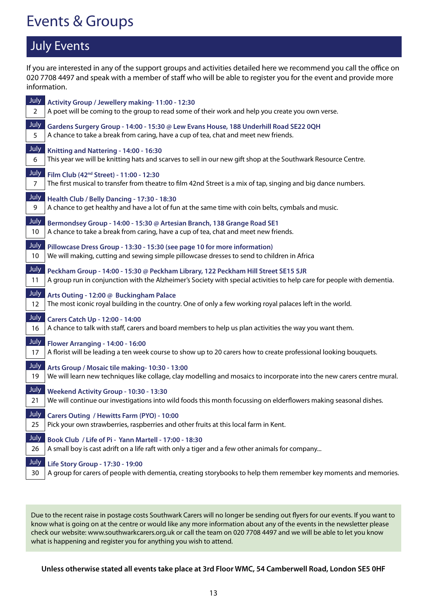# Events & Groups

## July Events

If you are interested in any of the support groups and activities detailed here we recommend you call the office on 020 7708 4497 and speak with a member of staff who will be able to register you for the event and provide more information.

| July           | Activity Group / Jewellery making-11:00 - 12:30                                                                                         |
|----------------|-----------------------------------------------------------------------------------------------------------------------------------------|
| $\overline{2}$ | A poet will be coming to the group to read some of their work and help you create you own verse.                                        |
| July           | Gardens Surgery Group - 14:00 - 15:30 @ Lew Evans House, 188 Underhill Road SE22 0QH                                                    |
| 5              | A chance to take a break from caring, have a cup of tea, chat and meet new friends.                                                     |
| <b>July</b>    | Knitting and Nattering - 14:00 - 16:30                                                                                                  |
| 6              | This year we will be knitting hats and scarves to sell in our new gift shop at the Southwark Resource Centre.                           |
| July           | Film Club (42 <sup>nd</sup> Street) - 11:00 - 12:30                                                                                     |
| $\overline{7}$ | The first musical to transfer from theatre to film 42nd Street is a mix of tap, singing and big dance numbers.                          |
| July           | Health Club / Belly Dancing - 17:30 - 18:30                                                                                             |
| 9              | A chance to get healthy and have a lot of fun at the same time with coin belts, cymbals and music.                                      |
| July           | Bermondsey Group - 14:00 - 15:30 @ Artesian Branch, 138 Grange Road SE1                                                                 |
| 10             | A chance to take a break from caring, have a cup of tea, chat and meet new friends.                                                     |
| July           | Pillowcase Dress Group - 13:30 - 15:30 (see page 10 for more information)                                                               |
| 10             | We will making, cutting and sewing simple pillowcase dresses to send to children in Africa                                              |
| July           | Peckham Group - 14:00 - 15:30 @ Peckham Library, 122 Peckham Hill Street SE15 5JR                                                       |
| 11             | A group run in conjunction with the Alzheimer's Society with special activities to help care for people with dementia.                  |
| July           | Arts Outing - 12:00 @ Buckingham Palace                                                                                                 |
| 12             | The most iconic royal building in the country. One of only a few working royal palaces left in the world.                               |
| July           | Carers Catch Up - 12:00 - 14:00                                                                                                         |
| 16             | A chance to talk with staff, carers and board members to help us plan activities the way you want them.                                 |
| July           | <b>Flower Arranging - 14:00 - 16:00</b>                                                                                                 |
| 17             | A florist will be leading a ten week course to show up to 20 carers how to create professional looking bouquets.                        |
| July           | Arts Group / Mosaic tile making- 10:30 - 13:00                                                                                          |
| 19             | We will learn new techniques like collage, clay modelling and mosaics to incorporate into the new carers centre mural.                  |
| July           | Weekend Activity Group - 10:30 - 13:30                                                                                                  |
| 21             | We will continue our investigations into wild foods this month focussing on elderflowers making seasonal dishes.                        |
| 25             | July Carers Outing / Hewitts Farm (PYO) - 10:00<br>Pick your own strawberries, raspberries and other fruits at this local farm in Kent. |
| July           | Book Club / Life of Pi - Yann Martell - 17:00 - 18:30                                                                                   |
| 26             | A small boy is cast adrift on a life raft with only a tiger and a few other animals for company                                         |
| July           | Life Story Group - 17:30 - 19:00                                                                                                        |
| 30             | A group for carers of people with dementia, creating storybooks to help them remember key moments and memories.                         |

Due to the recent raise in postage costs Southwark Carers will no longer be sending out flyers for our events. If you want to know what is going on at the centre or would like any more information about any of the events in the newsletter please check our website: www.southwarkcarers.org.uk or call the team on 020 7708 4497 and we will be able to let you know what is happening and register you for anything you wish to attend.

**Unless otherwise stated all events take place at 3rd Floor WMC, 54 Camberwell Road, London SE5 0HF**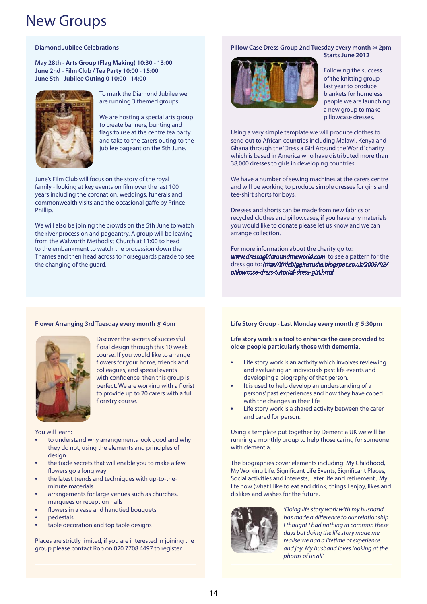# New Groups

#### **Diamond Jubilee Celebrations**

**May 28th - Arts Group (Flag Making) 10:30 - 13:00 June 2nd - Film Club / Tea Party 10:00 - 15:00 June 5th - Jubilee Outing 0 10:00 - 14:00**



To mark the Diamond Jubilee we are running 3 themed groups.

We are hosting a special arts group to create banners, bunting and flags to use at the centre tea party and take to the carers outing to the jubilee pageant on the 5th June.

June's Film Club will focus on the story of the royal family - looking at key events on film over the last 100 years including the coronation, weddings, funerals and commonwealth visits and the occasional gaffe by Prince Phillip.

We will also be joining the crowds on the 5th June to watch the river procession and pageantry. A group will be leaving from the Walworth Methodist Church at 11:00 to head to the embankment to watch the procession down the Thames and then head across to horseguards parade to see the changing of the guard.

#### **Pillow Case Dress Group 2nd Tuesday every month @ 2pm Starts June 2012**



Following the success of the knitting group last year to produce blankets for homeless people we are launching a new group to make pillowcase dresses.

Using a very simple template we will produce clothes to send out to African countries including Malawi, Kenya and Ghana through the 'Dress a Girl Around the World' charity which is based in America who have distributed more than 38,000 dresses to girls in developing countries.

We have a number of sewing machines at the carers centre and will be working to produce simple dresses for girls and tee-shirt shorts for boys.

Dresses and shorts can be made from new fabrics or recycled clothes and pillowcases, if you have any materials you would like to donate please let us know and we can arrange collection.

For more information about the charity go to: *www.dressagirlaroundtheworld.com* to see a pattern for the dress go to: *http://littlebiggirlstudio.blogspot.co.uk/2009/02/ pillowcase-dress-tutorial-dress-girl.html*

#### **Flower Arranging 3rd Tuesday every month @ 4pm**



Discover the secrets of successful floral design through this 10 week course. If you would like to arrange flowers for your home, friends and colleagues, and special events with confidence, then this group is perfect. We are working with a florist to provide up to 20 carers with a full floristry course.

You will learn:

- to understand why arrangements look good and why they do not, using the elements and principles of design
- the trade secrets that will enable you to make a few flowers go a long way
- the latest trends and techniques with up-to-theminute materials
- arrangements for large venues such as churches, marquees or reception halls
- flowers in a vase and handtied bouquets
- • pedestals
- table decoration and top table designs

Places are strictly limited, if you are interested in joining the group please contact Rob on 020 7708 4497 to register.

**Life Story Group - Last Monday every month @ 5:30pm**

**Life story work is a tool to enhance the care provided to older people particularly those with dementia.** 

- Life story work is an activity which involves reviewing and evaluating an individuals past life events and developing a biography of that person.
- It is used to help develop an understanding of a persons' past experiences and how they have coped with the changes in their life
- Life story work is a shared activity between the carer and cared for person.

Using a template put together by Dementia UK we will be running a monthly group to help those caring for someone with dementia.

The biographies cover elements including: My Childhood, My Working Life, Significant Life Events, Significant Places, Social activities and interests, Later life and retirement , My life now (what I like to eat and drink, things I enjoy, likes and dislikes and wishes for the future.



*'Doing life story work with my husband has made a difference to our relationship. I thought I had nothing in common these days but doing the life story made me realise we had a lifetime of experience and joy. My husband loves looking at the photos of us all'*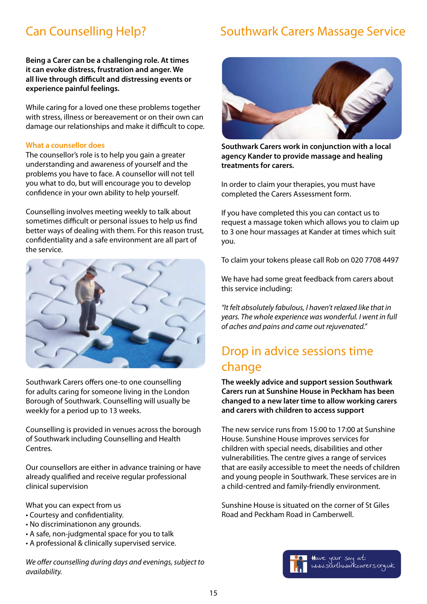## Can Counselling Help? Southwark Carers Massage Service

**Being a Carer can be a challenging role. At times it can evoke distress, frustration and anger. We all live through difficult and distressing events or experience painful feelings.**

While caring for a loved one these problems together with stress, illness or bereavement or on their own can damage our relationships and make it difficult to cope.

#### **What a counsellor does**

The counsellor's role is to help you gain a greater understanding and awareness of yourself and the problems you have to face. A counsellor will not tell you what to do, but will encourage you to develop confidence in your own ability to help yourself.

Counselling involves meeting weekly to talk about sometimes difficult or personal issues to help us find better ways of dealing with them. For this reason trust, confidentiality and a safe environment are all part of the service.



Southwark Carers offers one-to one counselling for adults caring for someone living in the London Borough of Southwark. Counselling will usually be weekly for a period up to 13 weeks.

Counselling is provided in venues across the borough of Southwark including Counselling and Health Centres.

Our counsellors are either in advance training or have already qualified and receive regular professional clinical supervision

What you can expect from us

- Courtesy and confidentiality.
- No discriminationon any grounds.
- A safe, non-judgmental space for you to talk
- A professional & clinically supervised service.

*We offer counselling during days and evenings, subject to availability.*



**Southwark Carers work in conjunction with a local agency Kander to provide massage and healing treatments for carers.**

In order to claim your therapies, you must have completed the Carers Assessment form.

If you have completed this you can contact us to request a massage token which allows you to claim up to 3 one hour massages at Kander at times which suit you.

To claim your tokens please call Rob on 020 7708 4497

We have had some great feedback from carers about this service including:

*"It felt absolutely fabulous, I haven't relaxed like that in years. The whole experience was wonderful. I went in full of aches and pains and came out rejuvenated."*

## Drop in advice sessions time change

**The weekly advice and support session Southwark Carers run at Sunshine House in Peckham has been changed to a new later time to allow working carers and carers with children to access support**

The new service runs from 15:00 to 17:00 at Sunshine House. Sunshine House improves services for children with special needs, disabilities and other vulnerabilities. The centre gives a range of services that are easily accessible to meet the needs of children and young people in Southwark. These services are in a child-centred and family-friendly environment.

Sunshine House is situated on the corner of St Giles Road and Peckham Road in Camberwell.

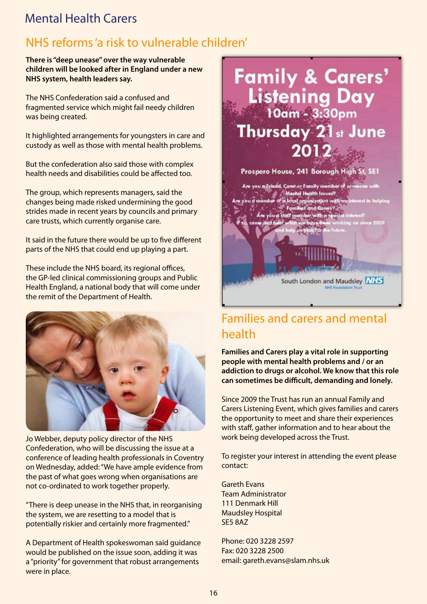## Mental Health Carers

## NHS reforms 'a risk to vulnerable children'

**There is "deep unease" over the way vulnerable children will be looked after in England under a new NHS system, health leaders say.**

The NHS Confederation said a confused and fragmented service which might fail needy children was being created.

It highlighted arrangements for youngsters in care and custody as well as those with mental health problems.

But the confederation also said those with complex health needs and disabilities could be affected too.

The group, which represents managers, said the changes being made risked undermining the good strides made in recent years by councils and primary care trusts, which currently organise care.

It said in the future there would be up to five different parts of the NHS that could end up playing a part.

These include the NHS board, its regional offices, the GP-led clinical commissioning groups and Public Health England, a national body that will come under the remit of the Department of Health.



Jo Webber, deputy policy director of the NHS Confederation, who will be discussing the issue at a conference of leading health professionals in Coventry on Wednesday, added: "We have ample evidence from the past of what goes wrong when organisations are not co-ordinated to work together properly.

"There is deep unease in the NHS that, in reorganising the system, we are resetting to a model that is potentially riskier and certainly more fragmented."

A Department of Health spokeswoman said guidance would be published on the issue soon, adding it was a "priority" for government that robust arrangements were in place.



## Families and carers and mental health

**Families and Carers play a vital role in supporting people with mental health problems and / or an addiction to drugs or alcohol. We know that this role can sometimes be difficult, demanding and lonely.** 

Since 2009 the Trust has run an annual Family and Carers Listening Event, which gives families and carers the opportunity to meet and share their experiences with staff, gather information and to hear about the work being developed across the Trust.

To register your interest in attending the event please contact:

Gareth Evans Team Administrator 111 Denmark Hill Maudsley Hospital SE5 8AZ

Phone: 020 3228 2597 Fax: 020 3228 2500 email: gareth.evans@slam.nhs.uk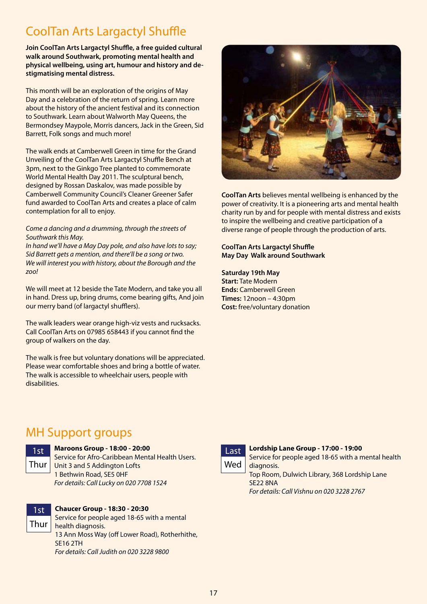## **CoolTan Arts Largactyl Shuffle**

Ends: Camberwell Green **Join CoolTan Arts Largactyl Shuffle, a free guided cultural**  Times: 12noon – 4:30pm **walk around Southwark, promoting mental health and**  physical wellbeing, using art, humour and history and de**stigmatising mental distress.**

> This month will be an exploration of the origins of May Day and a celebration of the return of spring. Learn more about the history of the ancient festival and its connection to Southwark. Learn about Walworth May Queens, the Bermondsey Maypole, Morris dancers, Jack in the Green, Sid Barrett, Folk songs and much more!

The walk ends at Camberwell Green in time for the Grand Unveiling of the CoolTan Arts Largactyl Shuffle Bench at 3pm, next to the Ginkgo Tree planted to commemorate World Mental Health Day 2011. The sculptural bench, designed by Rossan Daskalov, was made possible by Camberwell Community Council's Cleaner Greener Safer fund awarded to CoolTan Arts and creates a place of calm contemplation for all to enjoy.

#### *Come a dancing and a drumming, through the streets of Southwark this May.*

*In hand we'll have a May Day pole, and also have lots to say; Sid Barrett gets a mention, and there'll be a song or two. We will interest you with history, about the Borough and the zoo!* 

We will meet at 12 beside the Tate Modern, and take you all in hand. Dress up, bring drums, come bearing gifts, And join our merry band (of largactyl shufflers).

The walk leaders wear orange high-viz vests and rucksacks. Call CoolTan Arts on 07985 658443 if you cannot find the group of walkers on the day.

The walk is free but voluntary donations will be appreciated. Please wear comfortable shoes and bring a bottle of water. The walk is accessible to wheelchair users, people with disabilities.



**CoolTan Arts** believes mental wellbeing is enhanced by the power of creativity. It is a pioneering arts and mental health charity run by and for people with mental distress and exists to inspire the wellbeing and creative participation of a diverse range of people through the production of arts.

**CoolTan Arts Largactyl Shuffle May Day Walk around Southwark**

#### **Saturday 19th May**

**Start:** Tate Modern **Ends:** Camberwell Green **Times:** 12noon – 4:30pm **Cost:** free/voluntary donation

## MH Support groups



#### **Maroons Group - 18:00 - 20:00**

Service for Afro-Caribbean Mental Health Users. Thur | Unit 3 and 5 Addington Lofts 1 Bethwin Road, SE5 0HF *For details: Call Lucky on 020 7708 1524*



**Chaucer Group - 18:30 - 20:30** Service for people aged 18-65 with a mental health diagnosis. 13 Ann Moss Way (off Lower Road), Rotherhithe, SE16 2TH *For details: Call Judith on 020 3228 9800*



**Lordship Lane Group - 17:00 - 19:00** Service for people aged 18-65 with a mental health diagnosis. Top Room, Dulwich Library, 368 Lordship Lane SE22 8NA

*For details: Call Vishnu on 020 3228 2767*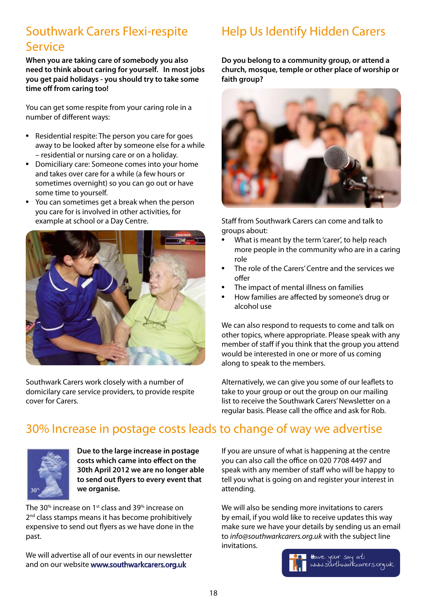## Southwark Carers Flexi-respite Service

**When you are taking care of somebody you also need to think about caring for yourself. In most jobs you get paid holidays - you should try to take some time off from caring too!**

You can get some respite from your caring role in a number of different ways:

- Residential respite: The person you care for goes away to be looked after by someone else for a while – residential or nursing care or on a holiday.
- Domiciliary care: Someone comes into your home and takes over care for a while (a few hours or sometimes overnight) so you can go out or have some time to yourself.
- You can sometimes get a break when the person you care for is involved in other activities, for example at school or a Day Centre.



Southwark Carers work closely with a number of domicilary care service providers, to provide respite cover for Carers.

## Help Us Identify Hidden Carers

**Do you belong to a community group, or attend a church, mosque, temple or other place of worship or faith group?**



Staff from Southwark Carers can come and talk to groups about:

- What is meant by the term 'carer', to help reach more people in the community who are in a caring role
- The role of the Carers' Centre and the services we offer
- The impact of mental illness on families
- How families are affected by someone's drug or alcohol use

We can also respond to requests to come and talk on other topics, where appropriate. Please speak with any member of staff if you think that the group you attend would be interested in one or more of us coming along to speak to the members.

Alternatively, we can give you some of our leaflets to take to your group or out the group on our mailing list to receive the Southwark Carers' Newsletter on a regular basis. Please call the office and ask for Rob.

## 30% Increase in postage costs leads to change of way we advertise



**Due to the large increase in postage costs which came into effect on the 30th April 2012 we are no longer able to send out flyers to every event that we organise.**

The 30<sup>%</sup> increase on 1<sup>st</sup> class and 39<sup>%</sup> increase on 2<sup>nd</sup> class stamps means it has become prohibitively expensive to send out flyers as we have done in the past.

We will advertise all of our events in our newsletter and on our website www.southwarkcarers.org.uk

If you are unsure of what is happening at the centre you can also call the office on 020 7708 4497 and speak with any member of staff who will be happy to tell you what is going on and register your interest in attending.

We will also be sending more invitations to carers by email, if you wold like to receive updates this way make sure we have your details by sending us an email to *info@southwarkcarers.org.uk* with the subject line invitations.

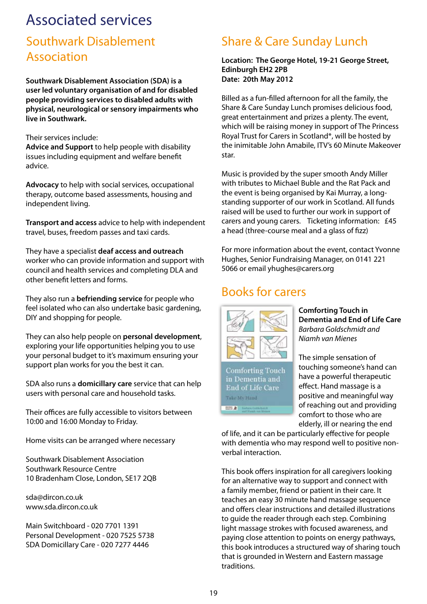# Associated services

## Southwark Disablement Association

**Southwark Disablement Association (SDA) is a user led voluntary organisation of and for disabled people providing services to disabled adults with physical, neurological or sensory impairments who live in Southwark.** 

#### Their services include:

**Advice and Support** to help people with disability issues including equipment and welfare benefit advice.

**Advocacy** to help with social services, occupational therapy, outcome based assessments, housing and independent living.

**Transport and access** advice to help with independent travel, buses, freedom passes and taxi cards.

They have a specialist **deaf access and outreach** worker who can provide information and support with council and health services and completing DLA and other benefit letters and forms.

They also run a **befriending service** for people who feel isolated who can also undertake basic gardening, DIY and shopping for people.

They can also help people on **personal development**, exploring your life opportunities helping you to use your personal budget to it's maximum ensuring your support plan works for you the best it can.

SDA also runs a **domicillary care** service that can help users with personal care and household tasks.

Their offices are fully accessible to visitors between 10:00 and 16:00 Monday to Friday.

Home visits can be arranged where necessary

Southwark Disablement Association Southwark Resource Centre 10 Bradenham Close, London, SE17 2QB

sda@dircon.co.uk www.sda.dircon.co.uk

Main Switchboard - 020 7701 1391 Personal Development - 020 7525 5738 SDA Domicillary Care - 020 7277 4446

## Share & Care Sunday Lunch

**Location: The George Hotel, 19-21 George Street, Edinburgh EH2 2PB Date: 20th May 2012**

Billed as a fun-filled afternoon for all the family, the Share & Care Sunday Lunch promises delicious food, great entertainment and prizes a plenty. The event, which will be raising money in support of The Princess Royal Trust for Carers in Scotland\*, will be hosted by the inimitable John Amabile, ITV's 60 Minute Makeover star.

Music is provided by the super smooth Andy Miller with tributes to Michael Buble and the Rat Pack and the event is being organised by Kai Murray, a longstanding supporter of our work in Scotland. All funds raised will be used to further our work in support of carers and young carers. Ticketing information: £45 a head (three-course meal and a glass of fizz)

For more information about the event, contact Yvonne Hughes, Senior Fundraising Manager, on 0141 221 5066 or email yhughes@carers.org

## Books for carers



**Comforting Touch in Dementia and End of Life Care** *Barbara Goldschmidt and Niamh van Mienes*

**Comforting Touch** in Dementia and **End of Life Care** Take My Hand **COLLE All Street Colle** 

The simple sensation of touching someone's hand can have a powerful therapeutic effect. Hand massage is a positive and meaningful way of reaching out and providing comfort to those who are elderly, ill or nearing the end

of life, and it can be particularly effective for people with dementia who may respond well to positive nonverbal interaction.

This book offers inspiration for all caregivers looking for an alternative way to support and connect with a family member, friend or patient in their care. It teaches an easy 30 minute hand massage sequence and offers clear instructions and detailed illustrations to guide the reader through each step. Combining light massage strokes with focused awareness, and paying close attention to points on energy pathways, this book introduces a structured way of sharing touch that is grounded in Western and Eastern massage traditions.